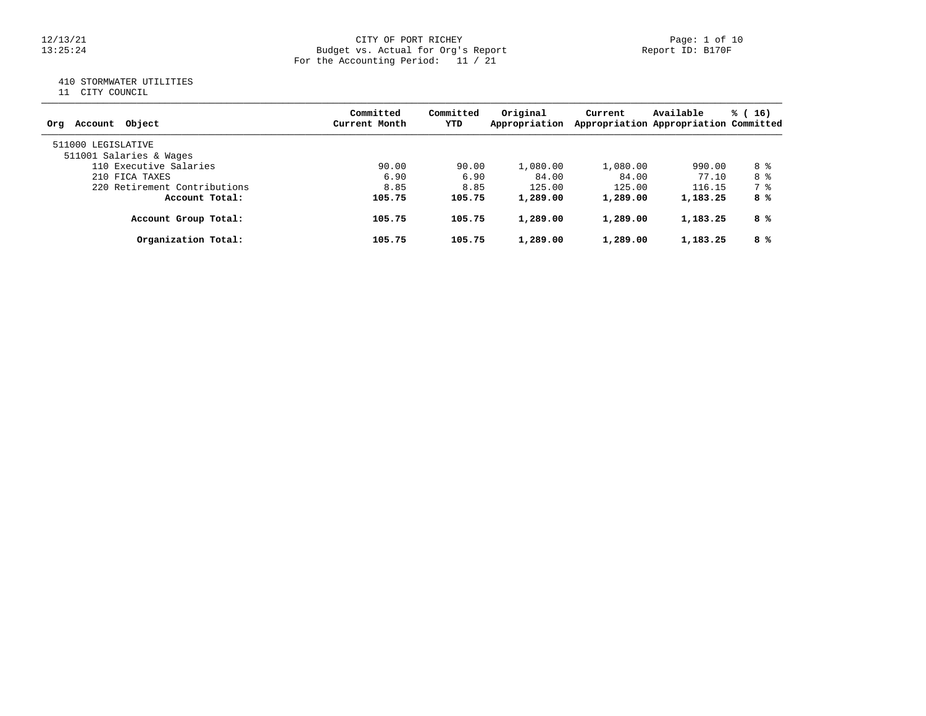#### 12/13/21 CITY OF PORT RICHEY Page: 1 of 10 13:25:24 Budget vs. Actual for Org's Report Report ID: B170F For the Accounting Period: 11 / 21

# 410 STORMWATER UTILITIES

11 CITY COUNCIL

| Account Object<br>Ora                         | Committed<br>Current Month | Committed<br>YTD | Original<br>Appropriation | Current  | Available<br>Appropriation Appropriation Committed | % (16) |
|-----------------------------------------------|----------------------------|------------------|---------------------------|----------|----------------------------------------------------|--------|
| 511000 LEGISLATIVE<br>511001 Salaries & Wages |                            |                  |                           |          |                                                    |        |
| 110 Executive Salaries                        | 90.00                      | 90.00            | 1,080.00                  | 1,080.00 | 990.00                                             | 8 %    |
| 210 FICA TAXES                                | 6.90                       | 6.90             | 84.00                     | 84.00    | 77.10                                              | 8 %    |
| 220 Retirement Contributions                  | 8.85                       | 8.85             | 125.00                    | 125.00   | 116.15                                             | 7 %    |
| Account Total:                                | 105.75                     | 105.75           | 1,289.00                  | 1,289.00 | 1,183.25                                           | 8 %    |
| Account Group Total:                          | 105.75                     | 105.75           | 1,289.00                  | 1,289.00 | 1,183.25                                           | 8 %    |
| Organization Total:                           | 105.75                     | 105.75           | 1,289.00                  | 1,289.00 | 1,183.25                                           | 8 %    |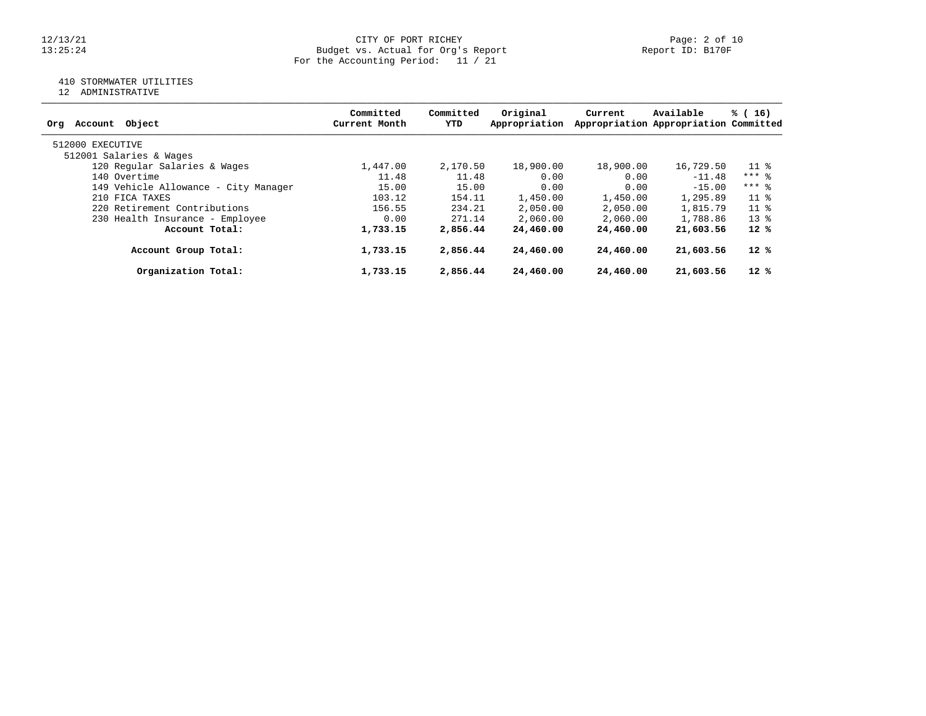#### 12/13/21 CITY OF PORT RICHEY Page: 2 of 10 13:25:24 Budget vs. Actual for Org's Report Report ID: B170F For the Accounting Period: 11 / 21

# 410 STORMWATER UTILITIES

12 ADMINISTRATIVE

| Object<br>Account<br>Orq             | Committed<br>Current Month | Committed<br>YTD | Original<br>Appropriation | Current   | Available<br>Appropriation Appropriation Committed | % (16)  |
|--------------------------------------|----------------------------|------------------|---------------------------|-----------|----------------------------------------------------|---------|
| 512000 EXECUTIVE                     |                            |                  |                           |           |                                                    |         |
| 512001 Salaries & Wages              |                            |                  |                           |           |                                                    |         |
| 120 Regular Salaries & Wages         | 1,447.00                   | 2,170.50         | 18,900.00                 | 18,900.00 | 16,729.50                                          | 11 %    |
| 140 Overtime                         | 11.48                      | 11.48            | 0.00                      | 0.00      | $-11.48$                                           | $***$ 8 |
| 149 Vehicle Allowance - City Manager | 15.00                      | 15.00            | 0.00                      | 0.00      | $-15.00$                                           | $***$ 8 |
| 210 FICA TAXES                       | 103.12                     | 154.11           | 1,450.00                  | 1,450.00  | 1,295.89                                           | $11$ %  |
| 220 Retirement Contributions         | 156.55                     | 234.21           | 2,050.00                  | 2,050.00  | 1,815.79                                           | $11*$   |
| 230 Health Insurance - Employee      | 0.00                       | 271.14           | 2,060.00                  | 2,060.00  | 1,788.86                                           | $13*$   |
| Account Total:                       | 1,733.15                   | 2,856.44         | 24,460.00                 | 24,460.00 | 21,603.56                                          | $12*$   |
| Account Group Total:                 | 1,733.15                   | 2,856.44         | 24,460.00                 | 24,460.00 | 21,603.56                                          | 12 %    |
| Organization Total:                  | 1,733.15                   | 2,856.44         | 24,460.00                 | 24,460.00 | 21,603.56                                          | $12*$   |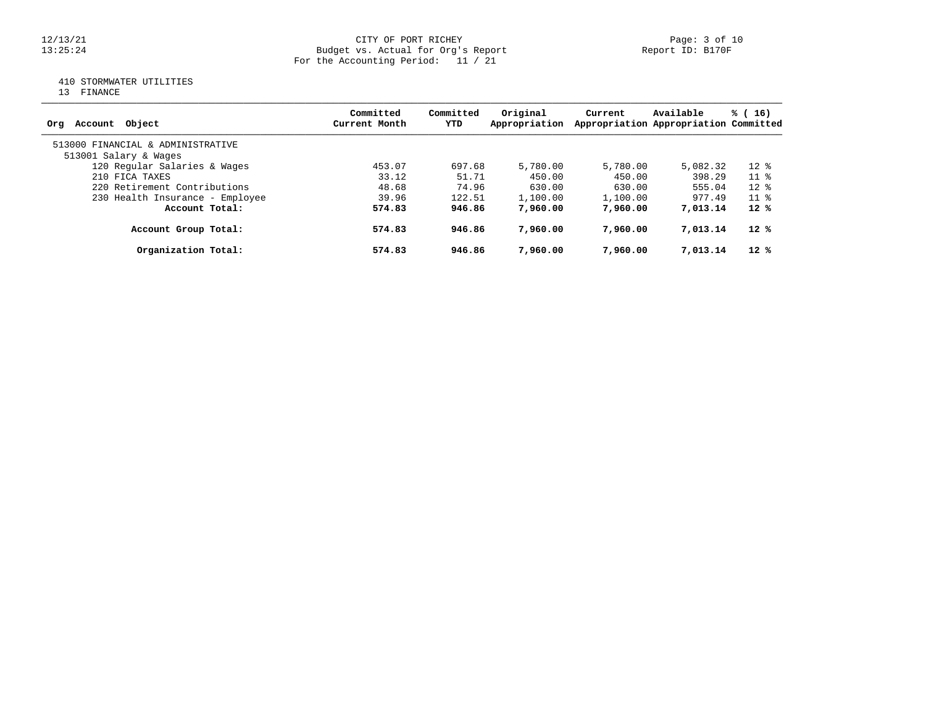#### 12/13/21 CITY OF PORT RICHEY Page: 3 of 10 13:25:24 Budget vs. Actual for Org's Report Report ID: B170F For the Accounting Period: 11 / 21

# 410 STORMWATER UTILITIES

13 FINANCE

| Account Object<br>Ora             | Committed<br>Current Month | Committed<br>YTD | Original<br>Appropriation | Current  | Available<br>Appropriation Appropriation Committed | % (16)                   |
|-----------------------------------|----------------------------|------------------|---------------------------|----------|----------------------------------------------------|--------------------------|
| 513000 FINANCIAL & ADMINISTRATIVE |                            |                  |                           |          |                                                    |                          |
| 513001 Salary & Wages             |                            |                  |                           |          |                                                    |                          |
| 120 Regular Salaries & Wages      | 453.07                     | 697.68           | 5,780.00                  | 5,780.00 | 5,082.32                                           | $12*$                    |
| 210 FICA TAXES                    | 33.12                      | 51.71            | 450.00                    | 450.00   | 398.29                                             | $11*$                    |
| 220 Retirement Contributions      | 48.68                      | 74.96            | 630.00                    | 630.00   | 555.04                                             | $12*$                    |
| 230 Health Insurance - Employee   | 39.96                      | 122.51           | 1,100.00                  | 1,100.00 | 977.49                                             | $11 \text{ }$ $\text{*}$ |
| Account Total:                    | 574.83                     | 946.86           | 7,960,00                  | 7,960,00 | 7,013.14                                           | $12*$                    |
| Account Group Total:              | 574.83                     | 946.86           | 7,960,00                  | 7,960,00 | 7,013.14                                           | $12*$                    |
| Organization Total:               | 574.83                     | 946.86           | 7,960,00                  | 7,960,00 | 7,013.14                                           | $12*$                    |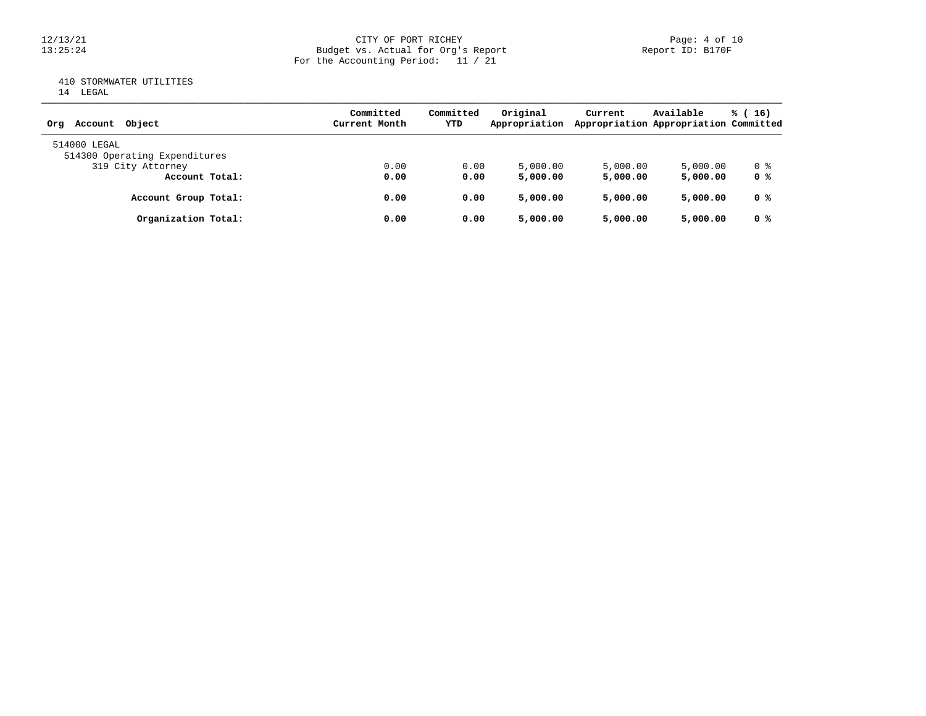# 12/13/21 CITY OF PORT RICHEY Page: 4 of 10<br>13:25:24 Budget vs. Actual for Org's Report Page: 4 Of 10 13:25:24 Budget vs. Actual for Org's Report Report ID: B170F For the Accounting Period: 11 / 21

# 410 STORMWATER UTILITIES

|  | LEGAL<br>×<br>v |
|--|-----------------|
|  |                 |

| Object<br>Account<br>Ora                      | Committed<br>Current Month | Committed<br>YTD | Original<br>Appropriation | Current  | Available<br>Appropriation Appropriation Committed | $\frac{1}{6}$ (16) |
|-----------------------------------------------|----------------------------|------------------|---------------------------|----------|----------------------------------------------------|--------------------|
| 514000 LEGAL<br>514300 Operating Expenditures |                            |                  |                           |          |                                                    |                    |
| 319 City Attorney                             | 0.00                       | 0.00             | 5,000.00                  | 5,000.00 | 5,000.00                                           | 0 %                |
| Account Total:                                | 0.00                       | 0.00             | 5,000.00                  | 5,000.00 | 5,000,00                                           | 0 %                |
| Account Group Total:                          | 0.00                       | 0.00             | 5,000.00                  | 5,000.00 | 5,000.00                                           | 0 %                |
| Organization Total:                           | 0.00                       | 0.00             | 5,000.00                  | 5,000.00 | 5,000.00                                           | 0 <sup>8</sup>     |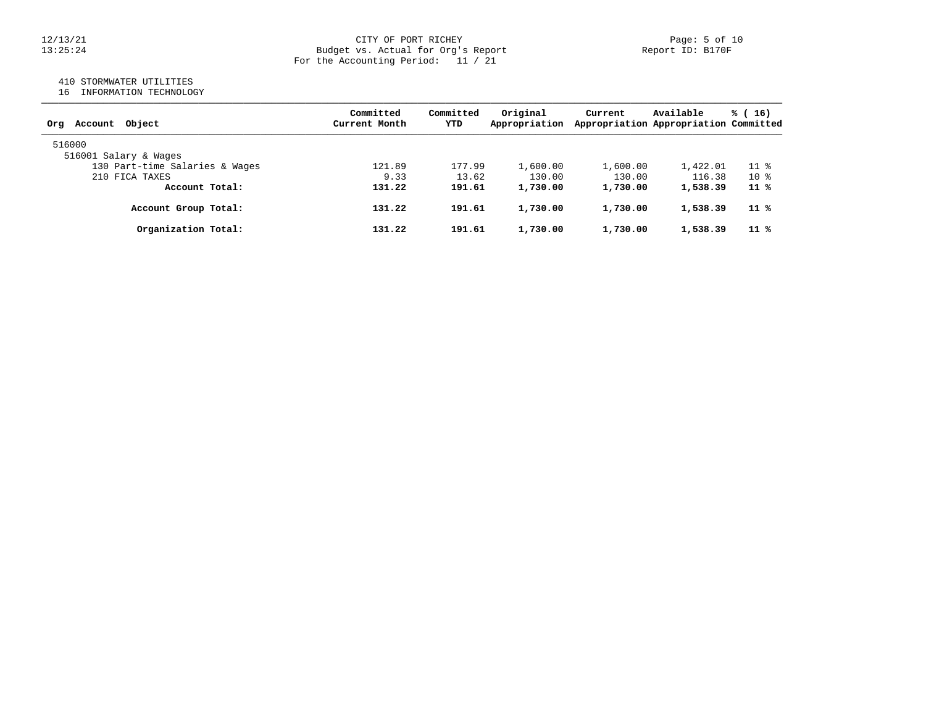## 12/13/21 CITY OF PORT RICHEY Page: 5 of 10 13:25:24 Budget vs. Actual for Org's Report Report ID: B170F For the Accounting Period: 11 / 21

## 410 STORMWATER UTILITIES

16 INFORMATION TECHNOLOGY

| Account Object<br>Ora          | Committed<br>Current Month | Committed<br>YTD | Original<br>Appropriation | Current  | Available<br>Appropriation Appropriation Committed | % (16) |
|--------------------------------|----------------------------|------------------|---------------------------|----------|----------------------------------------------------|--------|
| 516000                         |                            |                  |                           |          |                                                    |        |
| 516001 Salary & Wages          |                            |                  |                           |          |                                                    |        |
| 130 Part-time Salaries & Wages | 121.89                     | 177.99           | 1,600.00                  | 1,600.00 | 1,422.01                                           | $11$ % |
| 210 FICA TAXES                 | 9.33                       | 13.62            | 130.00                    | 130.00   | 116.38                                             | $10*$  |
| Account Total:                 | 131.22                     | 191.61           | 1,730.00                  | 1,730.00 | 1,538.39                                           | 11 %   |
| Account Group Total:           | 131.22                     | 191.61           | 1,730.00                  | 1,730.00 | 1,538.39                                           | 11 %   |
| Organization Total:            | 131.22                     | 191.61           | 1,730.00                  | 1,730.00 | 1,538.39                                           | 11 %   |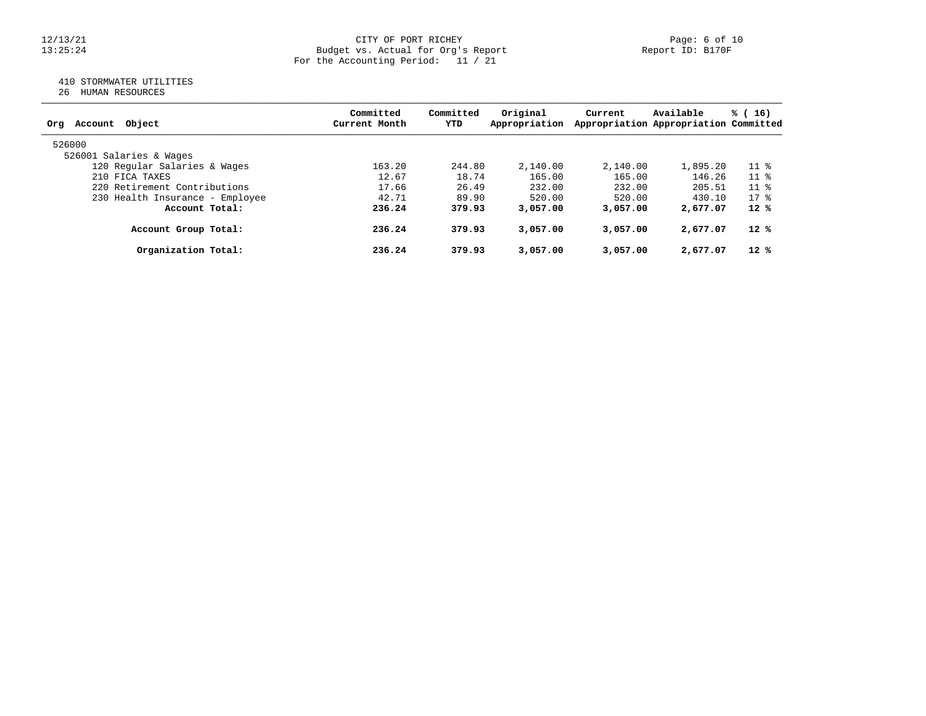#### 12/13/21 CITY OF PORT RICHEY Page: 6 of 10 13:25:24 Budget vs. Actual for Org's Report Report ID: B170F For the Accounting Period: 11 / 21

## 410 STORMWATER UTILITIES

26 HUMAN RESOURCES

| Account Object<br>Ora           | Committed<br>Current Month | Committed<br>YTD | Original<br>Appropriation | Current  | Available<br>Appropriation Appropriation Committed | % (<br>16)               |
|---------------------------------|----------------------------|------------------|---------------------------|----------|----------------------------------------------------|--------------------------|
| 526000                          |                            |                  |                           |          |                                                    |                          |
| 526001 Salaries & Wages         |                            |                  |                           |          |                                                    |                          |
| 120 Regular Salaries & Wages    | 163.20                     | 244.80           | 2,140.00                  | 2,140.00 | 1,895.20                                           | 11 <sub>8</sub>          |
| 210 FICA TAXES                  | 12.67                      | 18.74            | 165.00                    | 165.00   | 146.26                                             | $11 \text{ }$ $\text{*}$ |
| 220 Retirement Contributions    | 17.66                      | 26.49            | 232.00                    | 232.00   | 205.51                                             | 11 <sub>8</sub>          |
| 230 Health Insurance - Employee | 42.71                      | 89.90            | 520.00                    | 520.00   | 430.10                                             | $17*$                    |
| Account Total:                  | 236.24                     | 379.93           | 3,057.00                  | 3,057,00 | 2,677.07                                           | $12*$                    |
| Account Group Total:            | 236.24                     | 379.93           | 3,057.00                  | 3,057.00 | 2,677.07                                           | $12*$                    |
| Organization Total:             | 236.24                     | 379.93           | 3,057.00                  | 3,057.00 | 2,677.07                                           | $12*$                    |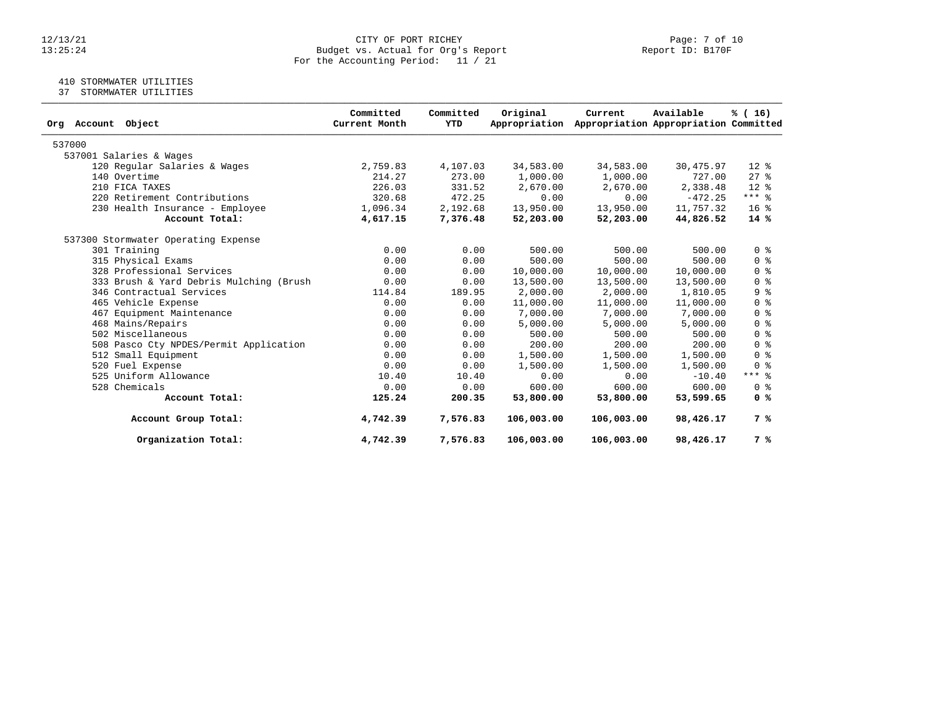#### 12/13/21 CITY OF PORT RICHEY Page: 7 of 10 13:25:24 Budget vs. Actual for Org's Report Report ID: B170F For the Accounting Period: 11 / 21

## 410 STORMWATER UTILITIES

37 STORMWATER UTILITIES

| Object<br>Org Account                   | Committed<br>Current Month | Committed<br>YTD | Original<br>Appropriation | Current    | Available<br>Appropriation Appropriation Committed | % (16)                             |
|-----------------------------------------|----------------------------|------------------|---------------------------|------------|----------------------------------------------------|------------------------------------|
| 537000                                  |                            |                  |                           |            |                                                    |                                    |
| 537001 Salaries & Wages                 |                            |                  |                           |            |                                                    |                                    |
| 120 Regular Salaries & Wages            | 2,759.83                   | 4,107.03         | 34,583.00                 | 34,583.00  | 30,475.97                                          | $12*$                              |
| 140 Overtime                            | 214.27                     | 273.00           | 1,000.00                  | 1,000.00   | 727.00                                             | $27$ $\frac{6}{5}$                 |
| 210 FICA TAXES                          | 226.03                     | 331.52           | 2,670.00                  | 2,670.00   | 2,338.48                                           | $12*$                              |
| 220 Retirement Contributions            | 320.68                     | 472.25           | 0.00                      | 0.00       | $-472.25$                                          | $***$ $%$                          |
| 230 Health Insurance - Employee         | 1,096.34                   | 2,192.68         | 13,950.00                 | 13,950.00  | 11,757.32                                          | 16 <sup>8</sup>                    |
| Account Total:                          | 4,617.15                   | 7,376.48         | 52,203.00                 | 52,203.00  | 44,826.52                                          | 14 %                               |
| 537300 Stormwater Operating Expense     |                            |                  |                           |            |                                                    |                                    |
| 301 Training                            | 0.00                       | 0.00             | 500.00                    | 500.00     | 500.00                                             | 0 <sup>8</sup>                     |
| 315 Physical Exams                      | 0.00                       | 0.00             | 500.00                    | 500.00     | 500.00                                             | $0 \text{ }$ $\text{ }$ $\text{ }$ |
| 328 Professional Services               | 0.00                       | 0.00             | 10,000.00                 | 10,000.00  | 10,000.00                                          | 0 <sup>8</sup>                     |
| 333 Brush & Yard Debris Mulching (Brush | 0.00                       | 0.00             | 13,500.00                 | 13,500.00  | 13,500.00                                          | 0 <sup>8</sup>                     |
| 346 Contractual Services                | 114.84                     | 189.95           | 2,000.00                  | 2,000.00   | 1,810.05                                           | 9 <sup>8</sup>                     |
| 465 Vehicle Expense                     | 0.00                       | 0.00             | 11,000.00                 | 11,000.00  | 11,000.00                                          | 0 <sup>8</sup>                     |
| 467 Equipment Maintenance               | 0.00                       | 0.00             | 7,000.00                  | 7,000.00   | 7,000.00                                           | 0 <sup>8</sup>                     |
| 468 Mains/Repairs                       | 0.00                       | 0.00             | 5,000.00                  | 5,000.00   | 5,000.00                                           | 0 <sup>8</sup>                     |
| 502 Miscellaneous                       | 0.00                       | 0.00             | 500.00                    | 500.00     | 500.00                                             | 0 <sup>8</sup>                     |
| 508 Pasco Cty NPDES/Permit Application  | 0.00                       | 0.00             | 200.00                    | 200.00     | 200.00                                             | 0 <sup>8</sup>                     |
| 512 Small Equipment                     | 0.00                       | 0.00             | 1,500.00                  | 1,500.00   | 1,500.00                                           | 0 <sup>8</sup>                     |
| 520 Fuel Expense                        | 0.00                       | 0.00             | 1,500.00                  | 1,500.00   | 1,500.00                                           | 0 <sup>8</sup>                     |
| 525 Uniform Allowance                   | 10.40                      | 10.40            | 0.00                      | 0.00       | $-10.40$                                           | $***$ $%$                          |
| 528 Chemicals                           | 0.00                       | 0.00             | 600.00                    | 600.00     | 600.00                                             | 0 <sup>8</sup>                     |
| Account Total:                          | 125.24                     | 200.35           | 53,800.00                 | 53,800.00  | 53,599.65                                          | 0 <sup>8</sup>                     |
| Account Group Total:                    | 4,742.39                   | 7,576.83         | 106,003.00                | 106,003.00 | 98,426.17                                          | 7 %                                |
| Organization Total:                     | 4,742.39                   | 7,576.83         | 106,003.00                | 106,003.00 | 98,426.17                                          | 7 %                                |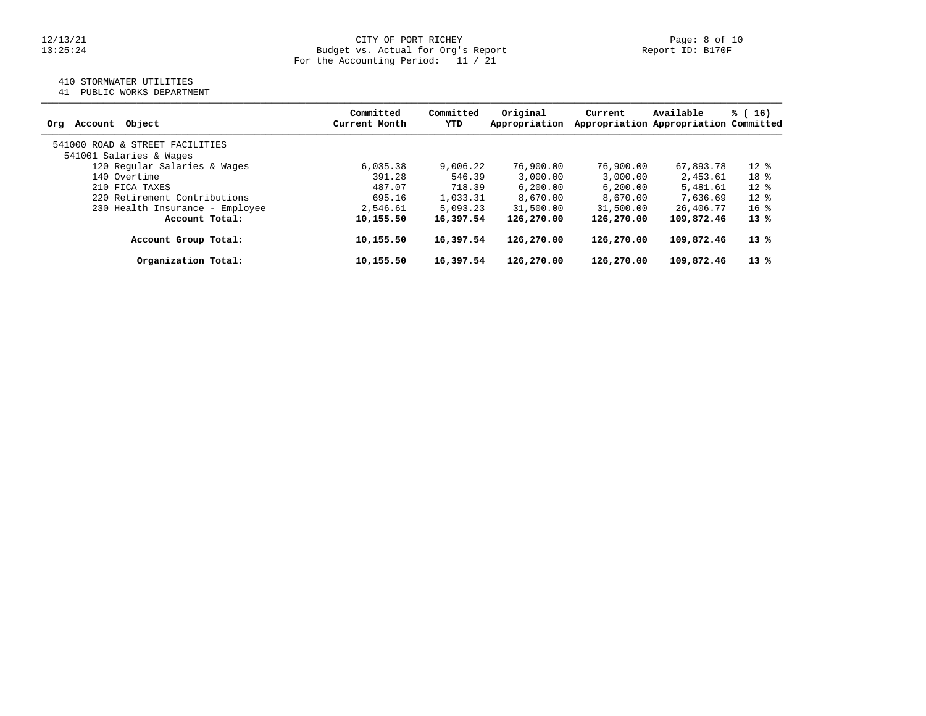# 12/13/21 CITY OF PORT RICHEY Page: 8 of 10<br>13:25:24 Budget vs. Actual for Org's Report Page: 13:25:24 Budget vs. Actual for Org's Report For the Accounting Period: 11 / 21

## 410 STORMWATER UTILITIES

41 PUBLIC WORKS DEPARTMENT

| Object<br>Account<br>Org        | Committed<br>Current Month | Committed<br>YTD | Original<br>Appropriation | Current    | Available<br>Appropriation Appropriation Committed | % (16)          |
|---------------------------------|----------------------------|------------------|---------------------------|------------|----------------------------------------------------|-----------------|
| 541000 ROAD & STREET FACILITIES |                            |                  |                           |            |                                                    |                 |
| 541001 Salaries & Wages         |                            |                  |                           |            |                                                    |                 |
| 120 Regular Salaries & Wages    | 6,035.38                   | 9,006.22         | 76,900.00                 | 76,900.00  | 67,893.78                                          | $12*$           |
| 140 Overtime                    | 391.28                     | 546.39           | 3,000.00                  | 3,000.00   | 2,453.61                                           | 18 <sup>8</sup> |
| 210 FICA TAXES                  | 487.07                     | 718.39           | 6, 200, 00                | 6,200.00   | 5,481.61                                           | $12*$           |
| 220 Retirement Contributions    | 695.16                     | 1,033.31         | 8.670.00                  | 8,670.00   | 7,636.69                                           | $12*$           |
| 230 Health Insurance - Employee | 2,546.61                   | 5,093.23         | 31,500.00                 | 31,500.00  | 26,406.77                                          | $16*$           |
| Account Total:                  | 10,155.50                  | 16,397.54        | 126,270.00                | 126,270.00 | 109,872.46                                         | $13*$           |
| Account Group Total:            | 10,155.50                  | 16,397.54        | 126,270.00                | 126,270.00 | 109,872.46                                         | 13 %            |
| Organization Total:             | 10,155.50                  | 16,397.54        | 126,270.00                | 126,270.00 | 109,872.46                                         | $13*$           |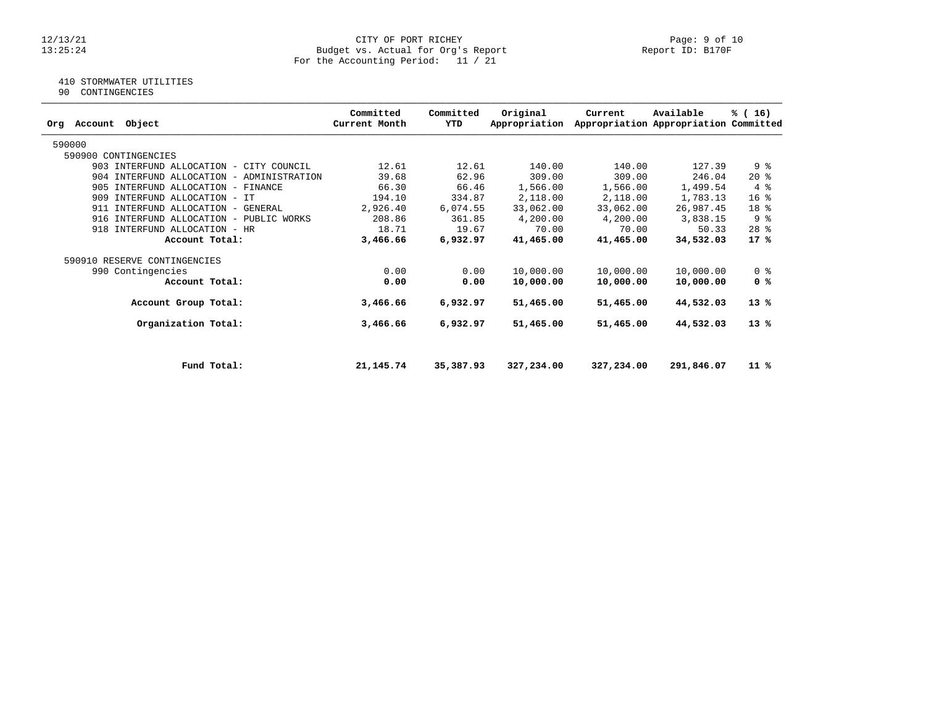#### 12/13/21 CITY OF PORT RICHEY Page: 9 of 10 13:25:24 Budget vs. Actual for Org's Report Report ID: B170F For the Accounting Period: 11 / 21

# 410 STORMWATER UTILITIES

90 CONTINGENCIES

| Account<br>Object<br>Orq                  | Committed<br>Current Month | Committed<br>YTD | Original<br>Appropriation | Current    | Available<br>Appropriation Appropriation Committed | % (16)          |
|-------------------------------------------|----------------------------|------------------|---------------------------|------------|----------------------------------------------------|-----------------|
| 590000                                    |                            |                  |                           |            |                                                    |                 |
| 590900 CONTINGENCIES                      |                            |                  |                           |            |                                                    |                 |
| 903 INTERFUND ALLOCATION - CITY COUNCIL   | 12.61                      | 12.61            | 140.00                    | 140.00     | 127.39                                             | 9%              |
| 904 INTERFUND ALLOCATION - ADMINISTRATION | 39.68                      | 62.96            | 309.00                    | 309.00     | 246.04                                             | $20*$           |
| 905 INTERFUND ALLOCATION - FINANCE        | 66.30                      | 66.46            | 1,566.00                  | 1,566.00   | 1,499.54                                           | 4%              |
| 909 INTERFUND ALLOCATION - IT             | 194.10                     | 334.87           | 2,118.00                  | 2,118.00   | 1,783.13                                           | 16 <sup>8</sup> |
| 911 INTERFUND ALLOCATION - GENERAL        | 2,926.40                   | 6,074.55         | 33,062.00                 | 33,062.00  | 26,987.45                                          | 18 %            |
| 916 INTERFUND ALLOCATION - PUBLIC WORKS   | 208.86                     | 361.85           | 4,200.00                  | 4,200.00   | 3,838.15                                           | 9%              |
| INTERFUND ALLOCATION - HR<br>918          | 18.71                      | 19.67            | 70.00                     | 70.00      | 50.33                                              | $28$ %          |
| Account Total:                            | 3,466.66                   | 6,932.97         | 41,465.00                 | 41,465.00  | 34,532.03                                          | 17%             |
| 590910 RESERVE CONTINGENCIES              |                            |                  |                           |            |                                                    |                 |
| 990 Contingencies                         | 0.00                       | 0.00             | 10,000.00                 | 10,000.00  | 10,000.00                                          | 0 <sub>8</sub>  |
| Account Total:                            | 0.00                       | 0.00             | 10,000.00                 | 10,000.00  | 10,000.00                                          | 0 <sup>8</sup>  |
| Account Group Total:                      | 3,466.66                   | 6,932.97         | 51,465.00                 | 51,465.00  | 44,532.03                                          | $13*$           |
| Organization Total:                       | 3,466.66                   | 6,932.97         | 51,465.00                 | 51,465.00  | 44,532.03                                          | $13*$           |
|                                           |                            |                  |                           |            |                                                    |                 |
| Fund Total:                               | 21, 145. 74                | 35,387.93        | 327,234.00                | 327,234.00 | 291,846.07                                         | $11*$           |